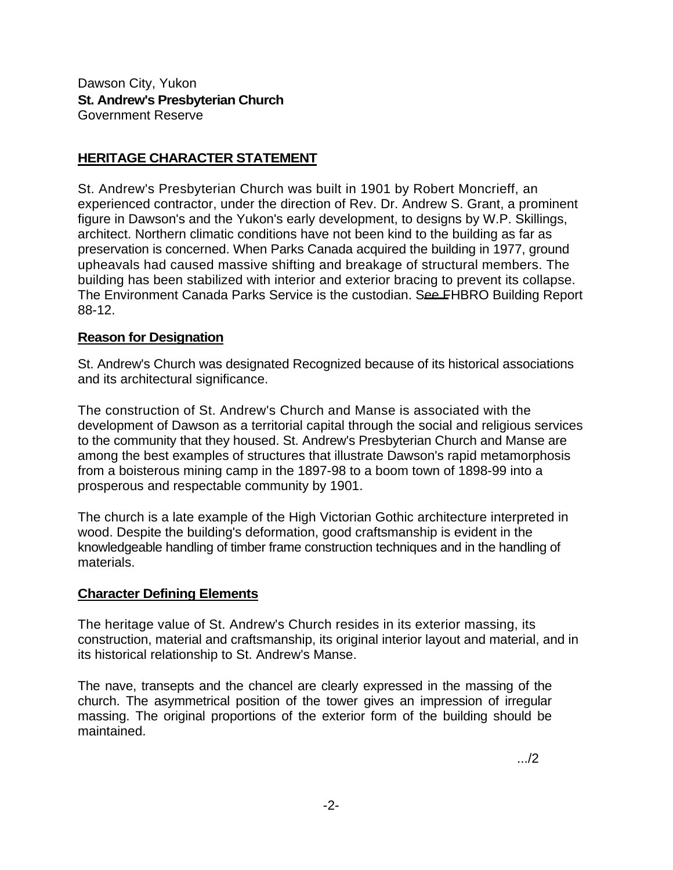Dawson City, Yukon **St. Andrew's Presbyterian Church**  Government Reserve

## **HERITAGE CHARACTER STATEMENT**

St. Andrew's Presbyterian Church was built in 1901 by Robert Moncrieff, an experienced contractor, under the direction of Rev. Dr. Andrew S. Grant, a prominent figure in Dawson's and the Yukon's early development, to designs by W.P. Skillings, architect. Northern climatic conditions have not been kind to the building as far as preservation is concerned. When Parks Canada acquired the building in 1977, ground upheavals had caused massive shifting and breakage of structural members. The building has been stabilized with interior and exterior bracing to prevent its collapse. The Environment Canada Parks Service is the custodian. See FHBRO Building Report 88-12.

## **Reason for Designation**

St. Andrew's Church was designated Recognized because of its historical associations and its architectural significance.

The construction of St. Andrew's Church and Manse is associated with the development of Dawson as a territorial capital through the social and religious services to the community that they housed. St. Andrew's Presbyterian Church and Manse are among the best examples of structures that illustrate Dawson's rapid metamorphosis from a boisterous mining camp in the 1897-98 to a boom town of 1898-99 into a prosperous and respectable community by 1901.

The church is a late example of the High Victorian Gothic architecture interpreted in wood. Despite the building's deformation, good craftsmanship is evident in the knowledgeable handling of timber frame construction techniques and in the handling of materials.

## **Character Defining Elements**

The heritage value of St. Andrew's Church resides in its exterior massing, its construction, material and craftsmanship, its original interior layout and material, and in its historical relationship to St. Andrew's Manse.

The nave, transepts and the chancel are clearly expressed in the massing of the church. The asymmetrical position of the tower gives an impression of irregular massing. The original proportions of the exterior form of the building should be maintained.

.../2